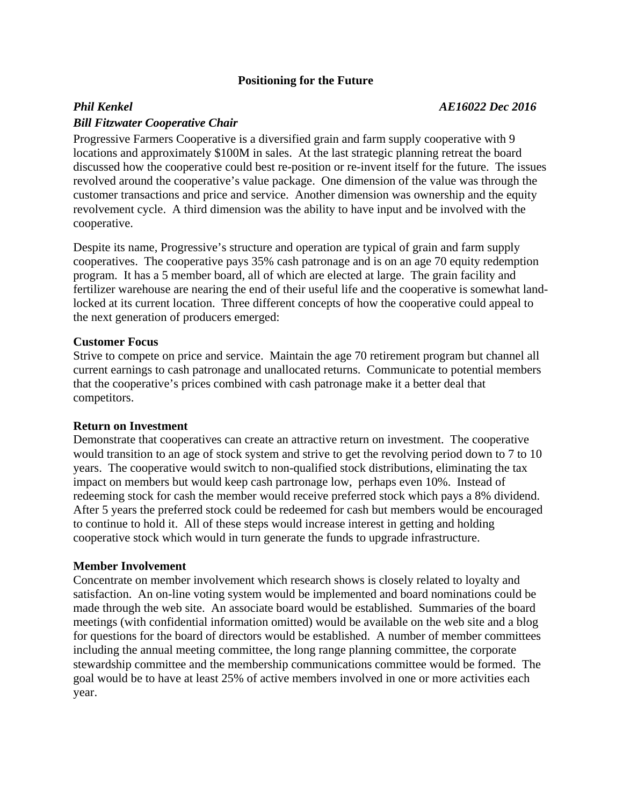# **Positioning for the Future**

## *Bill Fitzwater Cooperative Chair*

Progressive Farmers Cooperative is a diversified grain and farm supply cooperative with 9 locations and approximately \$100M in sales. At the last strategic planning retreat the board discussed how the cooperative could best re-position or re-invent itself for the future. The issues revolved around the cooperative's value package. One dimension of the value was through the customer transactions and price and service. Another dimension was ownership and the equity revolvement cycle. A third dimension was the ability to have input and be involved with the cooperative.

Despite its name, Progressive's structure and operation are typical of grain and farm supply cooperatives. The cooperative pays 35% cash patronage and is on an age 70 equity redemption program. It has a 5 member board, all of which are elected at large. The grain facility and fertilizer warehouse are nearing the end of their useful life and the cooperative is somewhat landlocked at its current location. Three different concepts of how the cooperative could appeal to the next generation of producers emerged:

### **Customer Focus**

Strive to compete on price and service. Maintain the age 70 retirement program but channel all current earnings to cash patronage and unallocated returns. Communicate to potential members that the cooperative's prices combined with cash patronage make it a better deal that competitors.

## **Return on Investment**

Demonstrate that cooperatives can create an attractive return on investment. The cooperative would transition to an age of stock system and strive to get the revolving period down to 7 to 10 years. The cooperative would switch to non-qualified stock distributions, eliminating the tax impact on members but would keep cash partronage low, perhaps even 10%. Instead of redeeming stock for cash the member would receive preferred stock which pays a 8% dividend. After 5 years the preferred stock could be redeemed for cash but members would be encouraged to continue to hold it. All of these steps would increase interest in getting and holding cooperative stock which would in turn generate the funds to upgrade infrastructure.

#### **Member Involvement**

Concentrate on member involvement which research shows is closely related to loyalty and satisfaction. An on-line voting system would be implemented and board nominations could be made through the web site. An associate board would be established. Summaries of the board meetings (with confidential information omitted) would be available on the web site and a blog for questions for the board of directors would be established. A number of member committees including the annual meeting committee, the long range planning committee, the corporate stewardship committee and the membership communications committee would be formed. The goal would be to have at least 25% of active members involved in one or more activities each year.

## *Phil Kenkel AE16022 Dec 2016*